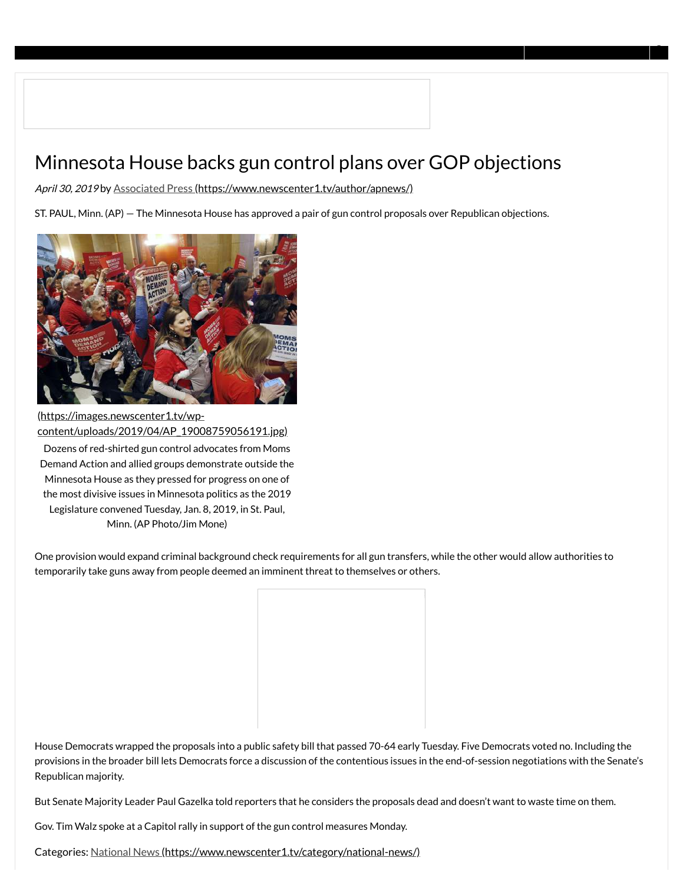# Minnesota House backs gun control plans over GOP objections

April 30, 2019 by [Associated Press \(https://www.newscenter1.tv/author/apnews/\)](https://www.newscenter1.tv/author/apnews/)

ST. PAUL, Minn. (AP) — The Minnesota House has approved a pair of gun control proposals over Republican objections.



(https://images.newscenter1.tv/wp[content/uploads/2019/04/AP\\_19008759056191.jpg\)](https://images.newscenter1.tv/wp-content/uploads/2019/04/AP_19008759056191.jpg) Dozens of red-shirted gun control advocates from Moms Demand Action and allied groups demonstrate outside the Minnesota House as they pressed for progress on one of the most divisive issues in Minnesota politics as the 2019 Legislature convened Tuesday, Jan. 8, 2019, in St. Paul, Minn. (AP Photo/Jim Mone)

One provision would expand criminal background check requirements for all gun transfers, while the other would allow authorities to temporarily take guns away from people deemed an imminent threat to themselves or others.



House Democrats wrapped the proposals into a public safety bill that passed 70-64 early Tuesday. Five Democrats voted no. Including the provisions in the broader bill lets Democrats force a discussion of the contentious issues in the end-of-session negotiations with the Senate's Republican majority.

But Senate Majority Leader Paul Gazelka told reporters that he considers the proposals dead and doesn't want to waste time on them.

Gov. Tim Walz spoke at a Capitol rally in support of the gun control measures Monday.

https://www.newscenter1.tv/minnesota-house-backs-gun-control-plans-over-gop-objections/ 1/4 Categories: [National News \(https://www.newscenter1.tv/category/national-news/\)](https://www.newscenter1.tv/category/national-news/)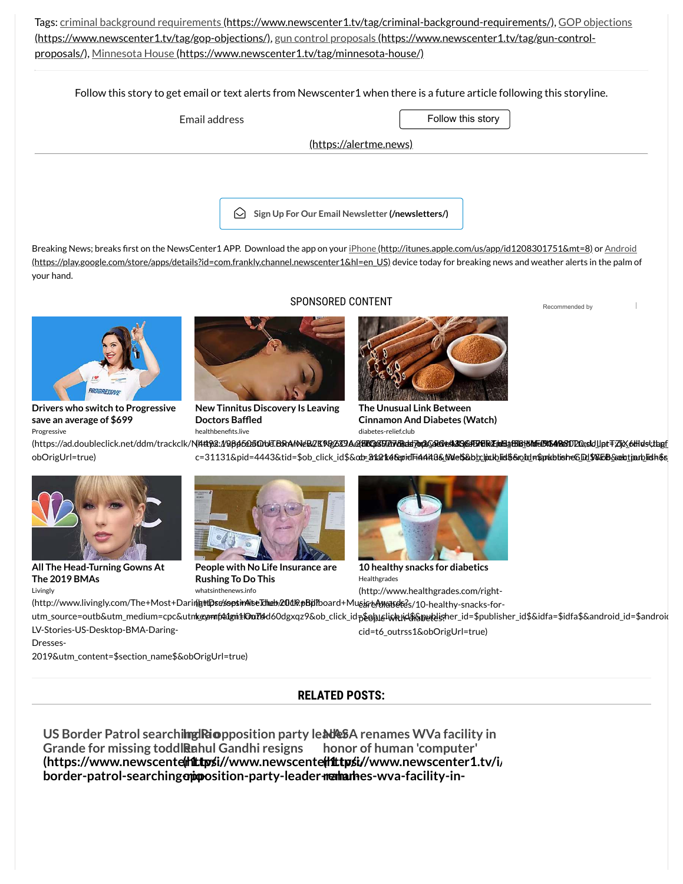[Tags: criminal background requirements \(https://www.newscenter1.tv/tag/criminal-background-requirements/\), GOP objections](https://www.newscenter1.tv/tag/gop-objections/) [\(https://www.newscenter1.tv/tag/gop-objections/\), gun control proposals \(https://www.newscenter1.tv/tag/gun-control-](https://www.newscenter1.tv/tag/gun-control-proposals/)proposals/), [Minnesota House \(https://www.newscenter1.tv/tag/minnesota-house/\)](https://www.newscenter1.tv/tag/minnesota-house/)

Follow this story to get email or text alerts from Newscenter1 when there is a future article following this storyline.

| Email address          |                                                             | Follow this story |
|------------------------|-------------------------------------------------------------|-------------------|
| (https://alertme.news) |                                                             |                   |
|                        |                                                             |                   |
|                        |                                                             |                   |
|                        | $\bigcirc$ Sign Up For Our Email Newsletter (/newsletters/) |                   |

Breaking News; breaks first on the NewsCenter1 APP. Download the app on your iDhone (http://itunes.apple.com/us/app/id1208301751&mt=8) or Android [\(https://play.google.com/store/apps/details?id=com.frankly.channel.newscenter1&hl=en\\_US\) device today for breaking news and weather alerts in the palm o](https://play.google.com/store/apps/details?id=com.frankly.channel.newscenter1&hl=en_US)f your hand.

SPONSORED CONTENT



**Drivers who switch to Progressive save an average of \$699** Progressive



**New Tinnitus Discovery Is Leaving Doctors Baffled** healthbenefits.live



**The Unusual Link Between Cinnamon And Diabetes (Watch)** diabetes-relief.club

[Recommended by](https://www.outbrain.com/what-is/default/en)

(https://ad.doubleclick.net/ddm/trackclk/N<del>Http2://Qpp6QBf0bldTB0AAN&BZKRQZ8YAA{BICQSEXRA&ab?or{B&V&RXSGEFFGRZhdBaBIShMEdDIBAD&DDE0;sldUpt∓ZjX\_6Hdsttbg<u>f</u></del> obOrigUrl=true)

c=31131&pid=4443&tid=\$ob\_click\_id\$&ob<del>\_</del>Market&pridFi44it8&Meb&b<u>bc</u>liakblid\$&obd#\$pubblisheGDd\$%DB&selationblidh\$s



**All The Head-Turning Gowns At The 2019 BMAs** Livingly



**People with No Life Insurance are Rushing To Do This** whatsinthenews.info



**10 healthy snacks for diabetics** Healthgrades (http://www.healthgrades.com/right-

(http://www.livingly.com/The+Most+Darin**(attDse%sesi+AiseIdme<del>b</del>/20dk).pBpl?**board+MusicedeMaats@e3/10-healthy-snacks-forutm\_source=outb&utm\_medium=cpc&utn**k@ennf41gni±On714**d6Odgxqz9&ob\_click\_id<sub>D</sub>&obLelickhid\$&publisher\_id=\$publisher\_id\$&idfa=\$idfa\$&android\_id=\$android LV-Stories-US-Desktop-BMA-Daringcid=t6\_outrss1&obOrigUrl=true)

Dresses-

2019&utm\_content=\$section\_name\$&obOrigUrl=true)

### **RELATED POSTS:**

US Border Patrol searchilmg Riopposition party lead es A renames WVa facility in Grande for missing toddl**Rahul Gandhi resigns [\(https://www.newscenter1.tv/i/](https://www.newscenter1.tv/i/us-border-patrol-searching-rio-grande-for-missing-toddler-2/) [\(https://www.newscenter1.tv/i/](https://www.newscenter1.tv/i/india-opposition-party-leader-rahul-gandhi-resigns/) [\(https://www.newscenter1.tv/i/](https://www.newscenter1.tv/i/nasa-renames-wva-facility-in-honor-of-human-computer/)** border-patrol-searching**apiposition-party-leader-rehauthes-wva-facility-inhonor of human 'computer'**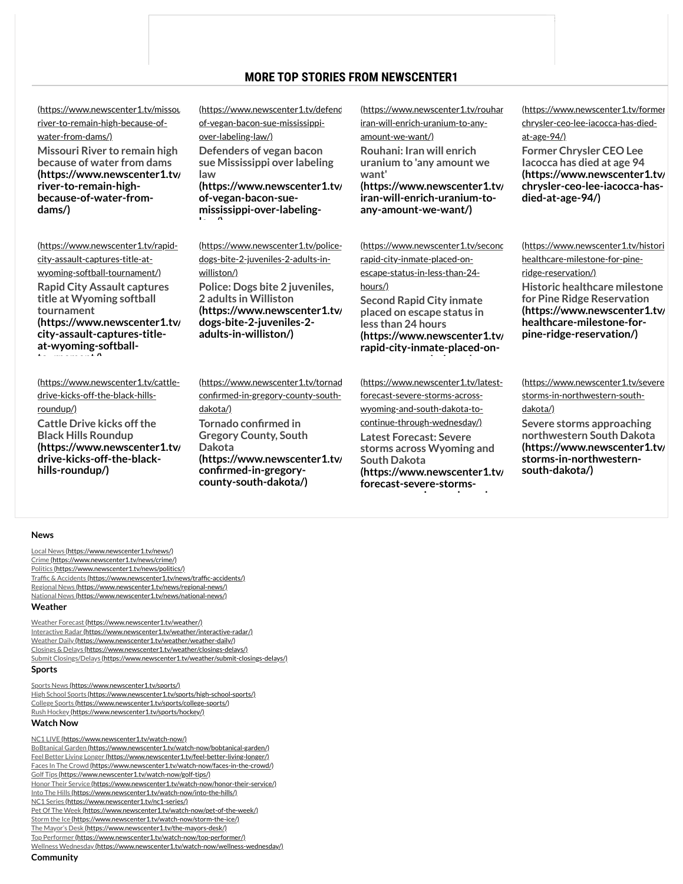## **MORE TOP STORIES FROM NEWSCENTER1**

[\(https://www.newscenter1.tv/missou](https://www.newscenter1.tv/missouri-river-to-remain-high-because-of-water-from-dams/) river-to-remain-high-because-ofwater-from-dams/)

**Missouri River to remain high because of water from dams [\(https://www.newscenter1.tv/](https://www.newscenter1.tv/missouri-river-to-remain-high-because-of-water-from-dams/) river-to-remain-highbecause-of-water-fromdams/)**

[\(https://www.newscenter1.tv/rapid](https://www.newscenter1.tv/rapid-city-assault-captures-title-at-wyoming-softball-tournament/)city-assault-captures-title-atwyoming-softball-tournament/) **Rapid City Assault captures title at Wyoming softball tournament [\(https://www.newscenter1.tv/](https://www.newscenter1.tv/rapid-city-assault-captures-title-at-wyoming-softball-tournament/) city-assault-captures-titleat-wyoming-softball-**

**to rnament/)**

[\(https://www.newscenter1.tv/cattle](https://www.newscenter1.tv/cattle-drive-kicks-off-the-black-hills-roundup/)drive-kicks-off-the-black-hillsroundup/) **Cattle Drive kicks off the Black Hills Roundup [\(https://www.newscenter1.tv/](https://www.newscenter1.tv/cattle-drive-kicks-off-the-black-hills-roundup/) drive-kicks-off-the-blackhills-roundup/)**

(https://www.newscenter1.tv/defenc of-vegan-bacon-sue-mississippiover-labeling-law/) **Defenders of vegan bacon sue Mississippi over labeling law [\(https://www.newscenter1.tv/](https://www.newscenter1.tv/defenders-of-vegan-bacon-sue-mississippi-over-labeling-law/) of-vegan-bacon-sue-**

7/3/2019 Minnesota House backs gun control plans over GOP objections - KNBN NewsCent[er1](https://adssettings.google.com/whythisad?reasons=AB3afGEAAAHzW1tbW251bGwsWzIsMTAsMTNdLG51bGwsbnVsbCx0cnVlLFsiOTY2Il0sbnVsbCxudWxsLG51bGwsbnVsbCxudWxsLG51bGwsbnVsbCxudWxsLG51bGwsbnVsbCxudWxsLG51bGwsbnVsbCxudWxsLG51bGwsbnVsbCxudWxsLG51bGwsbnVsbCwiREVESUNBVEVERU1BSUxTLkNPTSIsMV0sW251bGwsbnVsbCxbbnVsbCxudWxsLG51bGwsImh0dHBzOi8vZGlzcGxheWFkcy1mb3JtYXRzLmdvb2dsZXVzZXJjb250ZW50LmNvbS9hZHMvcHJldmlldy9jb250ZW50LmpzP2NsaWVudD13dGFcdTAwMjZvYmZ1c2NhdGVkQ3VzdG9tZXJJZD0xMzU2MTUxNzAzXHUwMDI2Y3JlYXRpdmVJZD0zNDQ4MjQ5Mzc5MTdcdTAwMjZ2ZXJzaW9uSWQ9MVx1MDAyNmFkR3JvdXBDcmVhdGl2ZUlkPTMyMDEwNDg0MTAzOFx1MDAyNmh0bWxQYXJlbnRJZD1wcmV2LTBcdTAwMjZoZWlnaHQ9MFx1MDAyNndpZHRoPTBcdTAwMjZzaWc9QUNpVkJfd2RTSTVrVkhmZVA2UjlPVzU5aTlET3lybUtsdyJdXV1dLFsxLDFdXSzExy_vKS6oF2bLQ4BScHp1P51aBbkNHEtF4LAAFI2kSMaK9rb3HHloh0nSFk-D27ZVhAlfEsYI1yzq1p7MtRzMHbxAXVc0xpnE7--IVG7QcCkUuVCYYO1oB7xNsZDgIivkaTqzJ20zX3VdAZYzMvFCD8WT9auB2-aheDEwzdnyTm15oI14Rm49056fRawQSistB11rVJbvI0vIZkfRgI-dbYQtSRm6lEjtfovmgSYFzGcYhvlTHQgWXjOCxQ9vSP7ROfj7K346te0Ul6miVnx0vF7T7RSrmgplohKFQfSs6iPSwac9RT7F5CJeXAJDGkJK73Jij00XgRnwZpWhUVw,yM2tA0Wb6yTavj5xofNkaQ&source=display&cbt=R6A4joTEtXgIzv7wvagJENWmiswGGM-G1C8iKWNvbnNlcnZhdGl2ZWJ1enouY29tL3BvbGwvYmV0dGVycHJlc2lkZW50MggIBRMY9bkBFEIXY2EtcHViLTQ4MDc1NjE0NTc2Njk5OTZIElhRcAF6BQgDEgED&cv=https://googleads.g.doubleclick.net/pagead/conversion/%3Fai%3DCu2wxS5kcXZrZHtiuBfjInugEi6L3gVfO_vC9qAn6p9an1A4QASDViZMWYMmGgICUpJgToAHBoLXRA8gBAeACAKgDAcgDCqoEkQJP0KtEblWs5zoXfF8JrlpfG_ISqSWqwkpZDfMhcvdh4xMLxksEvL132czsLiSq8G3Tc2grp540schtY2nGzZO6NGcDAoGGjk9nfvxknD6wdDpIyWWttZPFmHZQy3TzEtrI2bK2Eah-GPVLNziTUIU0vDkiIRAw4VcP4-H0gL2ifh6cO2UXTvHJUQa0T84a8bx4jrC_iF2yMf5ThbqOvWqUUxcNCntxZADZ2aSCYsyBBX4KbVpdCSSodzXZoty5109tilj0CLJW649N2sWGX6_u1Po6rYynUxbd0dncSgctUGQCv4M0r0vo2v8EOvyeKg1tJl0bEKxW7yfitocB3qH31PfmxRU3FuCjRRIsZ3B3u6rgBAGgBlGAB6ffyi6oB47OG6gH1ckbqAfB0xuoB4XUG6gHgdQbqAeC1BuoB4bUG6gH4NMbqAe6BqgH2csbqAfPzBuoB6a-G6gH7NUb2AcB0ggHCIBhEAEYDfIIG2FkeC1zdWJzeW4tMjY2NTUzNDg5NTAwMDQ2MbEJDeny7KOHsG2ACgPYEwyIFAE%26sigh%3DMuMB9z2fBME%26cid%3DCAQSLQDwy9IZ0jG05BM-KWoe0IB2vnoWvzIJ2LX3zAQzMa2SyoP65IxOokvv3yYhvQ)

**mississippi-over-labelingla /)**

[\(https://www.newscenter1.tv/police](https://www.newscenter1.tv/police-dogs-bite-2-juveniles-2-adults-in-williston/)dogs-bite-2-juveniles-2-adults-inwilliston/) **Police: Dogs bite 2 juveniles, 2 adults in Williston [\(https://www.newscenter1.tv/](https://www.newscenter1.tv/police-dogs-bite-2-juveniles-2-adults-in-williston/) dogs-bite-2-juveniles-2 adults-in-williston/)**

dakota/)

**Dakota**

(https://www.newscenter1.tv/rouhar iran-will-enrich-uranium-to-anyamount-we-want/) **Rouhani: Iran will enrich uranium to 'any amount we want' [\(https://www.newscenter1.tv/](https://www.newscenter1.tv/rouhani-iran-will-enrich-uranium-to-any-amount-we-want/) iran-will-enrich-uranium-toany-amount-we-want/)**

[\(https://www.newscenter1.tv/second](https://www.newscenter1.tv/second-rapid-city-inmate-placed-on-escape-status-in-less-than-24-hours/) rapid-city-inmate-placed-onescape-status-in-less-than-24 hours/) **Second Rapid City inmate placed on escape status in less than 24 hours [\(https://www.newscenter1.tv/](https://www.newscenter1.tv/second-rapid-city-inmate-placed-on-escape-status-in-less-than-24-hours/) rapid-city-inmate-placed-oni l h**

[\(https://www.newscenter1.tv/tornad](https://www.newscenter1.tv/tornado-confirmed-in-gregory-county-south-dakota/) confirmed-in-gregory-county-south-**Tornado confirmed in Gregory County, South [\(https://www.newscenter1.tv/](https://www.newscenter1.tv/tornado-confirmed-in-gregory-county-south-dakota/)** confirmed-in-gregory**county-south-dakota/) South Dakota**

[\(https://www.newscenter1.tv/latest](https://www.newscenter1.tv/latest-forecast-severe-storms-across-wyoming-and-south-dakota-to-continue-through-wednesday/)forecast-severe-storms-acrosswyoming-and-south-dakota-tocontinue-through-wednesday/) **Latest Forecast: Severe storms across Wyoming and [\(https://www.newscenter1.tv/](https://www.newscenter1.tv/latest-forecast-severe-storms-across-wyoming-and-south-dakota-to-continue-through-wednesday/) forecast-severe-stormsi d h**

[\(https://www.newscenter1.tv/former](https://www.newscenter1.tv/former-chrysler-ceo-lee-iacocca-has-died-at-age-94/) chrysler-ceo-lee-iacocca-has-diedat-age-94/)

**Former Chrysler CEO Lee Iacocca has died at age 94 [\(https://www.newscenter1.tv/](https://www.newscenter1.tv/former-chrysler-ceo-lee-iacocca-has-died-at-age-94/) chrysler-ceo-lee-iacocca-hasdied-at-age-94/)**

[\(https://www.newscenter1.tv/histori](https://www.newscenter1.tv/historic-healthcare-milestone-for-pine-ridge-reservation/) healthcare-milestone-for-pineridge-reservation/) **Historic healthcare milestone for Pine Ridge Reservation [\(https://www.newscenter1.tv/](https://www.newscenter1.tv/historic-healthcare-milestone-for-pine-ridge-reservation/) healthcare-milestone-forpine-ridge-reservation/)**

[\(https://www.newscenter1.tv/severe](https://www.newscenter1.tv/severe-storms-in-northwestern-south-dakota/) storms-in-northwestern-southdakota/) **Severe storms approaching**

**northwestern South Dakota [\(https://www.newscenter1.tv/](https://www.newscenter1.tv/severe-storms-in-northwestern-south-dakota/) storms-in-northwesternsouth-dakota/)**

#### **News**

[Local News \(https://www.newscenter1.tv/news/\)](https://www.newscenter1.tv/news/) [Crime \(https://www.newscenter1.tv/news/crime/\)](https://www.newscenter1.tv/news/crime/) [Politics \(https://www.newscenter1.tv/news/politics/\)](https://www.newscenter1.tv/news/politics/) Traffic & Accidents (https://www.newscenter1.tv/news/traffic-accidents/) [Regional News \(https://www.newscenter1.tv/news/regional-news/\)](https://www.newscenter1.tv/news/regional-news/) [National News \(https://www.newscenter1.tv/news/national-news/\)](https://www.newscenter1.tv/news/national-news/) **Weather**

[Weather Forecast \(https://www.newscenter1.tv/weather/\)](https://www.newscenter1.tv/weather/) [Interactive Radar \(https://www.newscenter1.tv/weather/interactive-radar/\)](https://www.newscenter1.tv/weather/interactive-radar/) [Weather Daily \(https://www.newscenter1.tv/weather/weather-daily/\)](https://www.newscenter1.tv/weather/weather-daily/) [Closings & Delays \(https://www.newscenter1.tv/weather/closings-delays/\)](https://www.newscenter1.tv/weather/closings-delays/) [Submit Closings/Delays \(https://www.newscenter1.tv/weather/submit-closings-delays/\)](https://www.newscenter1.tv/weather/submit-closings-delays/) **Sports**

[Sports News \(https://www.newscenter1.tv/sports/\)](https://www.newscenter1.tv/sports/) [High School Sports \(https://www.newscenter1.tv/sports/high-school-sports/\)](https://www.newscenter1.tv/sports/high-school-sports/) [College Sports \(https://www.newscenter1.tv/sports/college-sports/\)](https://www.newscenter1.tv/sports/college-sports/) [Rush Hockey \(https://www.newscenter1.tv/sports/hockey/\)](https://www.newscenter1.tv/sports/hockey/) **Watch Now**

[NC1 LIVE \(https://www.newscenter1.tv/watch-now/\)](https://www.newscenter1.tv/watch-now/) [BoBtanical Garden \(https://www.newscenter1.tv/watch-now/bobtanical-garden/\)](https://www.newscenter1.tv/watch-now/bobtanical-garden/) [Feel Better Living Longer \(https://www.newscenter1.tv/feel-better-living-longer/\)](https://www.newscenter1.tv/feel-better-living-longer/) [Faces In The Crowd \(https://www.newscenter1.tv/watch-now/faces-in-the-crowd/\)](https://www.newscenter1.tv/watch-now/faces-in-the-crowd/) [Golf Tips \(https://www.newscenter1.tv/watch-now/golf-tips/\)](https://www.newscenter1.tv/watch-now/golf-tips/) [Honor Their Service \(https://www.newscenter1.tv/watch-now/honor-their-service/\)](https://www.newscenter1.tv/watch-now/honor-their-service/) [Into The Hills \(https://www.newscenter1.tv/watch-now/into-the-hills/\)](https://www.newscenter1.tv/watch-now/into-the-hills/) [NC1 Series \(https://www.newscenter1.tv/nc1-series/\)](https://www.newscenter1.tv/nc1-series/) [Pet Of The Week \(https://www.newscenter1.tv/watch-now/pet-of-the-week/\)](https://www.newscenter1.tv/watch-now/pet-of-the-week/) [Storm the Ice \(https://www.newscenter1.tv/watch-now/storm-the-ice/\)](https://www.newscenter1.tv/watch-now/storm-the-ice/) [The Mayor's Desk \(https://www.newscenter1.tv/the-mayors-desk/\)](https://www.newscenter1.tv/the-mayors-desk/) [Top Performer \(https://www.newscenter1.tv/watch-now/top-performer/\)](https://www.newscenter1.tv/watch-now/top-performer/) [Wellness Wednesday \(https://www.newscenter1.tv/watch-now/wellness-wednesday/\)](https://www.newscenter1.tv/watch-now/wellness-wednesday/)

 $h_{\text{columnary}}$ **Community**